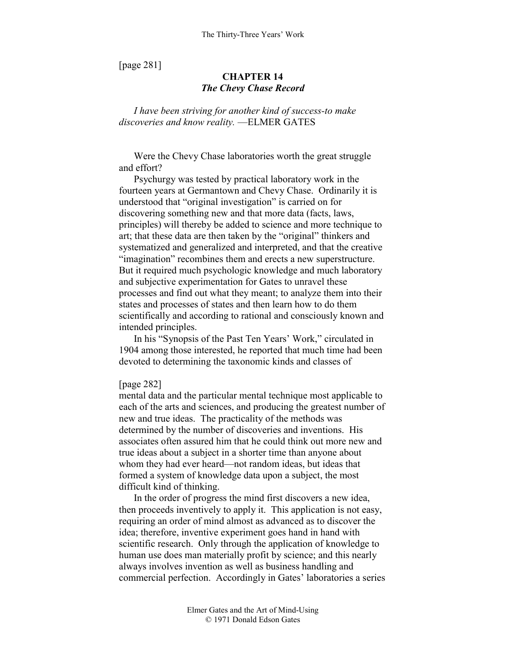[page 281]

# **CHAPTER 14**  *The Chevy Chase Record*

*I have been striving for another kind of success-to make discoveries and know reality.* —ELMER GATES

Were the Chevy Chase laboratories worth the great struggle and effort?

Psychurgy was tested by practical laboratory work in the fourteen years at Germantown and Chevy Chase. Ordinarily it is understood that "original investigation" is carried on for discovering something new and that more data (facts, laws, principles) will thereby be added to science and more technique to art; that these data are then taken by the "original" thinkers and systematized and generalized and interpreted, and that the creative "imagination" recombines them and erects a new superstructure. But it required much psychologic knowledge and much laboratory and subjective experimentation for Gates to unravel these processes and find out what they meant; to analyze them into their states and processes of states and then learn how to do them scientifically and according to rational and consciously known and intended principles.

In his "Synopsis of the Past Ten Years' Work," circulated in 1904 among those interested, he reported that much time had been devoted to determining the taxonomic kinds and classes of

## [page 282]

mental data and the particular mental technique most applicable to each of the arts and sciences, and producing the greatest number of new and true ideas. The practicality of the methods was determined by the number of discoveries and inventions. His associates often assured him that he could think out more new and true ideas about a subject in a shorter time than anyone about whom they had ever heard—not random ideas, but ideas that formed a system of knowledge data upon a subject, the most difficult kind of thinking.

In the order of progress the mind first discovers a new idea, then proceeds inventively to apply it. This application is not easy, requiring an order of mind almost as advanced as to discover the idea; therefore, inventive experiment goes hand in hand with scientific research. Only through the application of knowledge to human use does man materially profit by science; and this nearly always involves invention as well as business handling and commercial perfection. Accordingly in Gates' laboratories a series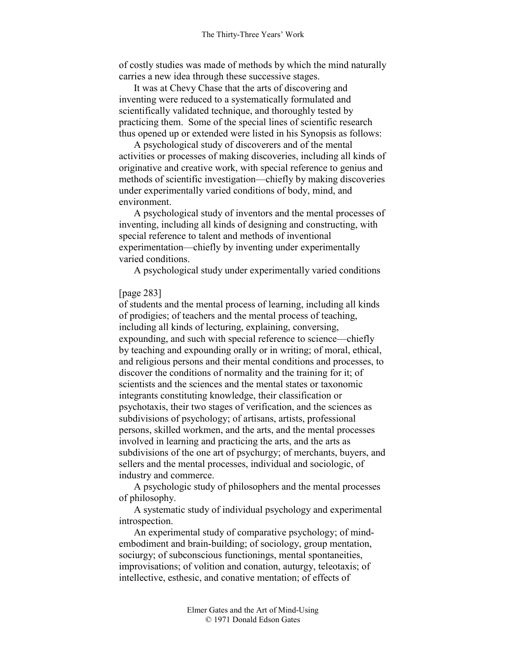of costly studies was made of methods by which the mind naturally carries a new idea through these successive stages.

It was at Chevy Chase that the arts of discovering and inventing were reduced to a systematically formulated and scientifically validated technique, and thoroughly tested by practicing them. Some of the special lines of scientific research thus opened up or extended were listed in his Synopsis as follows:

A psychological study of discoverers and of the mental activities or processes of making discoveries, including all kinds of originative and creative work, with special reference to genius and methods of scientific investigation—chiefly by making discoveries under experimentally varied conditions of body, mind, and environment.

A psychological study of inventors and the mental processes of inventing, including all kinds of designing and constructing, with special reference to talent and methods of inventional experimentation—chiefly by inventing under experimentally varied conditions.

A psychological study under experimentally varied conditions

## [page 283]

of students and the mental process of learning, including all kinds of prodigies; of teachers and the mental process of teaching, including all kinds of lecturing, explaining, conversing, expounding, and such with special reference to science—chiefly by teaching and expounding orally or in writing; of moral, ethical, and religious persons and their mental conditions and processes, to discover the conditions of normality and the training for it; of scientists and the sciences and the mental states or taxonomic integrants constituting knowledge, their classification or psychotaxis, their two stages of verification, and the sciences as subdivisions of psychology; of artisans, artists, professional persons, skilled workmen, and the arts, and the mental processes involved in learning and practicing the arts, and the arts as subdivisions of the one art of psychurgy; of merchants, buyers, and sellers and the mental processes, individual and sociologic, of industry and commerce.

A psychologic study of philosophers and the mental processes of philosophy.

A systematic study of individual psychology and experimental introspection.

An experimental study of comparative psychology; of mindembodiment and brain-building; of sociology, group mentation, sociurgy; of subconscious functionings, mental spontaneities, improvisations; of volition and conation, auturgy, teleotaxis; of intellective, esthesic, and conative mentation; of effects of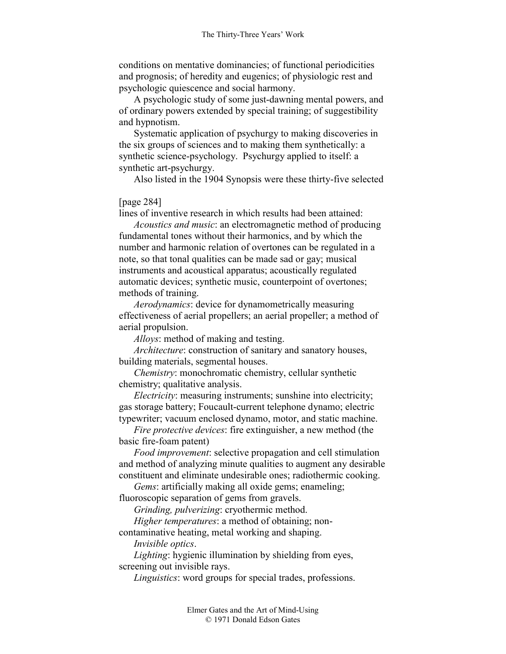conditions on mentative dominancies; of functional periodicities and prognosis; of heredity and eugenics; of physiologic rest and psychologic quiescence and social harmony.

A psychologic study of some just-dawning mental powers, and of ordinary powers extended by special training; of suggestibility and hypnotism.

Systematic application of psychurgy to making discoveries in the six groups of sciences and to making them synthetically: a synthetic science-psychology. Psychurgy applied to itself: a synthetic art-psychurgy.

Also listed in the 1904 Synopsis were these thirty-five selected

[page 284]

lines of inventive research in which results had been attained:

*Acoustics and music*: an electromagnetic method of producing fundamental tones without their harmonics, and by which the number and harmonic relation of overtones can be regulated in a note, so that tonal qualities can be made sad or gay; musical instruments and acoustical apparatus; acoustically regulated automatic devices; synthetic music, counterpoint of overtones; methods of training.

*Aerodynamics*: device for dynamometrically measuring effectiveness of aerial propellers; an aerial propeller; a method of aerial propulsion.

*Alloys*: method of making and testing.

*Architecture*: construction of sanitary and sanatory houses, building materials, segmental houses.

*Chemistry*: monochromatic chemistry, cellular synthetic chemistry; qualitative analysis.

*Electricity*: measuring instruments; sunshine into electricity; gas storage battery; Foucault-current telephone dynamo; electric typewriter; vacuum enclosed dynamo, motor, and static machine.

*Fire protective devices*: fire extinguisher, a new method (the basic fire-foam patent)

*Food improvement*: selective propagation and cell stimulation and method of analyzing minute qualities to augment any desirable constituent and eliminate undesirable ones; radiothermic cooking.

*Gems*: artificially making all oxide gems; enameling;

fluoroscopic separation of gems from gravels.

*Grinding, pulverizing*: cryothermic method.

*Higher temperatures*: a method of obtaining; non-

contaminative heating, metal working and shaping.

*Invisible optics*.

*Lighting*: hygienic illumination by shielding from eyes, screening out invisible rays.

*Linguistics*: word groups for special trades, professions.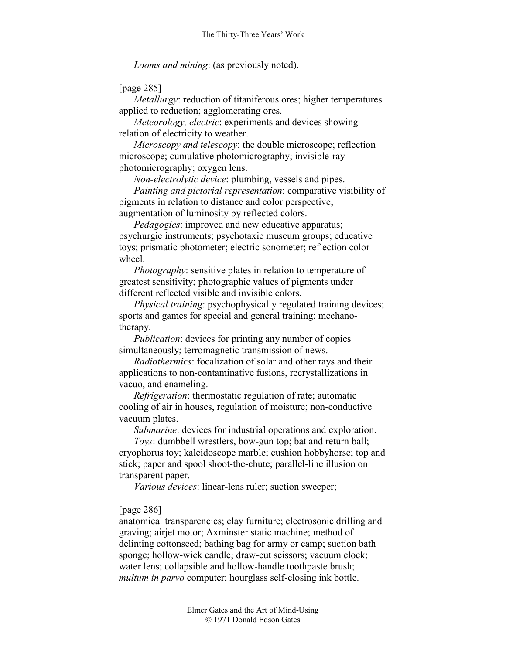*Looms and mining*: (as previously noted).

## [page 285]

*Metallurgy*: reduction of titaniferous ores; higher temperatures applied to reduction; agglomerating ores.

*Meteorology, electric*: experiments and devices showing relation of electricity to weather.

*Microscopy and telescopy*: the double microscope; reflection microscope; cumulative photomicrography; invisible-ray photomicrography; oxygen lens.

*Non-electrolytic device*: plumbing, vessels and pipes.

*Painting and pictorial representation*: comparative visibility of pigments in relation to distance and color perspective; augmentation of luminosity by reflected colors.

*Pedagogics*: improved and new educative apparatus; psychurgic instruments; psychotaxic museum groups; educative toys; prismatic photometer; electric sonometer; reflection color wheel.

*Photography*: sensitive plates in relation to temperature of greatest sensitivity; photographic values of pigments under different reflected visible and invisible colors.

*Physical training*: psychophysically regulated training devices; sports and games for special and general training; mechanotherapy.

*Publication*: devices for printing any number of copies simultaneously; terromagnetic transmission of news.

*Radiothermics*: focalization of solar and other rays and their applications to non-contaminative fusions, recrystallizations in vacuo, and enameling.

*Refrigeration*: thermostatic regulation of rate; automatic cooling of air in houses, regulation of moisture; non-conductive vacuum plates.

*Submarine*: devices for industrial operations and exploration.

*Toys*: dumbbell wrestlers, bow-gun top; bat and return ball; cryophorus toy; kaleidoscope marble; cushion hobbyhorse; top and stick; paper and spool shoot-the-chute; parallel-line illusion on transparent paper.

*Various devices*: linear-lens ruler; suction sweeper;

### [page 286]

anatomical transparencies; clay furniture; electrosonic drilling and graving; airjet motor; Axminster static machine; method of delinting cottonseed; bathing bag for army or camp; suction bath sponge; hollow-wick candle; draw-cut scissors; vacuum clock; water lens; collapsible and hollow-handle toothpaste brush; *multum in parvo* computer; hourglass self-closing ink bottle.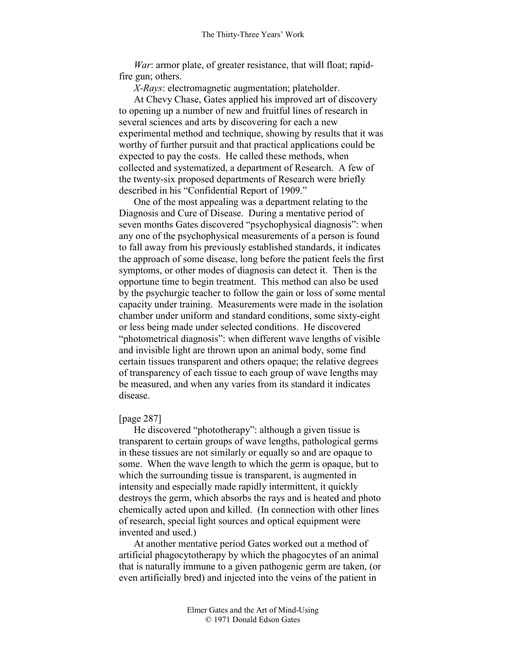*War*: armor plate, of greater resistance, that will float; rapidfire gun; others.

*X-Rays*: electromagnetic augmentation; plateholder.

At Chevy Chase, Gates applied his improved art of discovery to opening up a number of new and fruitful lines of research in several sciences and arts by discovering for each a new experimental method and technique, showing by results that it was worthy of further pursuit and that practical applications could be expected to pay the costs. He called these methods, when collected and systematized, a department of Research. A few of the twenty-six proposed departments of Research were briefly described in his "Confidential Report of 1909."

One of the most appealing was a department relating to the Diagnosis and Cure of Disease. During a mentative period of seven months Gates discovered "psychophysical diagnosis": when any one of the psychophysical measurements of a person is found to fall away from his previously established standards, it indicates the approach of some disease, long before the patient feels the first symptoms, or other modes of diagnosis can detect it. Then is the opportune time to begin treatment. This method can also be used by the psychurgic teacher to follow the gain or loss of some mental capacity under training. Measurements were made in the isolation chamber under uniform and standard conditions, some sixty-eight or less being made under selected conditions. He discovered "photometrical diagnosis": when different wave lengths of visible and invisible light are thrown upon an animal body, some find certain tissues transparent and others opaque; the relative degrees of transparency of each tissue to each group of wave lengths may be measured, and when any varies from its standard it indicates disease.

### [page 287]

He discovered "phototherapy": although a given tissue is transparent to certain groups of wave lengths, pathological germs in these tissues are not similarly or equally so and are opaque to some. When the wave length to which the germ is opaque, but to which the surrounding tissue is transparent, is augmented in intensity and especially made rapidly intermittent, it quickly destroys the germ, which absorbs the rays and is heated and photo chemically acted upon and killed. (In connection with other lines of research, special light sources and optical equipment were invented and used.)

At another mentative period Gates worked out a method of artificial phagocytotherapy by which the phagocytes of an animal that is naturally immune to a given pathogenic germ are taken, (or even artificially bred) and injected into the veins of the patient in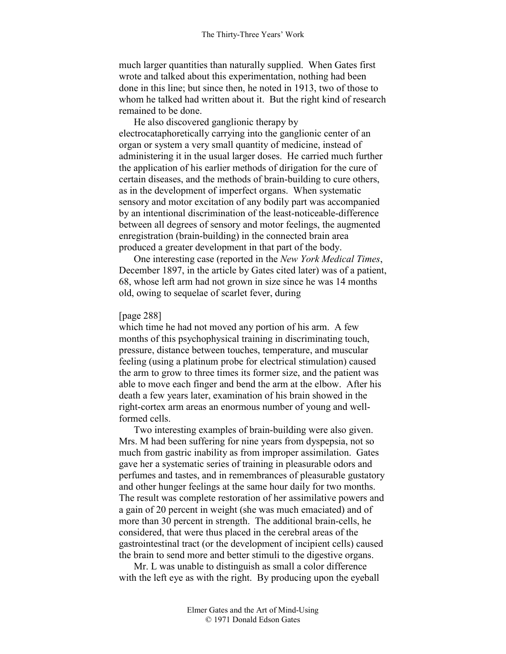much larger quantities than naturally supplied. When Gates first wrote and talked about this experimentation, nothing had been done in this line; but since then, he noted in 1913, two of those to whom he talked had written about it. But the right kind of research remained to be done.

He also discovered ganglionic therapy by electrocataphoretically carrying into the ganglionic center of an organ or system a very small quantity of medicine, instead of administering it in the usual larger doses. He carried much further the application of his earlier methods of dirigation for the cure of certain diseases, and the methods of brain-building to cure others, as in the development of imperfect organs. When systematic sensory and motor excitation of any bodily part was accompanied by an intentional discrimination of the least-noticeable-difference between all degrees of sensory and motor feelings, the augmented enregistration (brain-building) in the connected brain area produced a greater development in that part of the body.

One interesting case (reported in the *New York Medical Times*, December 1897, in the article by Gates cited later) was of a patient, 68, whose left arm had not grown in size since he was 14 months old, owing to sequelae of scarlet fever, during

### [page 288]

which time he had not moved any portion of his arm. A few months of this psychophysical training in discriminating touch, pressure, distance between touches, temperature, and muscular feeling (using a platinum probe for electrical stimulation) caused the arm to grow to three times its former size, and the patient was able to move each finger and bend the arm at the elbow. After his death a few years later, examination of his brain showed in the right-cortex arm areas an enormous number of young and wellformed cells.

Two interesting examples of brain-building were also given. Mrs. M had been suffering for nine years from dyspepsia, not so much from gastric inability as from improper assimilation. Gates gave her a systematic series of training in pleasurable odors and perfumes and tastes, and in remembrances of pleasurable gustatory and other hunger feelings at the same hour daily for two months. The result was complete restoration of her assimilative powers and a gain of 20 percent in weight (she was much emaciated) and of more than 30 percent in strength. The additional brain-cells, he considered, that were thus placed in the cerebral areas of the gastrointestinal tract (or the development of incipient cells) caused the brain to send more and better stimuli to the digestive organs.

Mr. L was unable to distinguish as small a color difference with the left eye as with the right. By producing upon the eyeball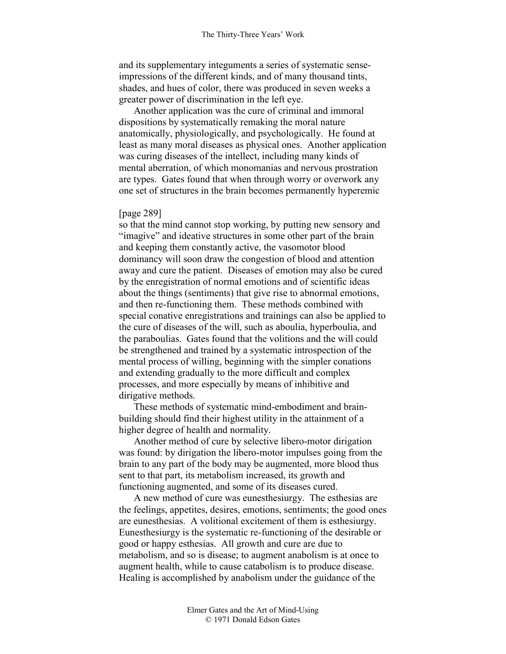and its supplementary integuments a series of systematic senseimpressions of the different kinds, and of many thousand tints, shades, and hues of color, there was produced in seven weeks a greater power of discrimination in the left eye.

Another application was the cure of criminal and immoral dispositions by systematically remaking the moral nature anatomically, physiologically, and psychologically. He found at least as many moral diseases as physical ones. Another application was curing diseases of the intellect, including many kinds of mental aberration, of which monomanias and nervous prostration are types. Gates found that when through worry or overwork any one set of structures in the brain becomes permanently hyperemic

### [page 289]

so that the mind cannot stop working, by putting new sensory and "imagive" and ideative structures in some other part of the brain and keeping them constantly active, the vasomotor blood dominancy will soon draw the congestion of blood and attention away and cure the patient. Diseases of emotion may also be cured by the enregistration of normal emotions and of scientific ideas about the things (sentiments) that give rise to abnormal emotions, and then re-functioning them. These methods combined with special conative enregistrations and trainings can also be applied to the cure of diseases of the will, such as aboulia, hyperboulia, and the paraboulias. Gates found that the volitions and the will could be strengthened and trained by a systematic introspection of the mental process of willing, beginning with the simpler conations and extending gradually to the more difficult and complex processes, and more especially by means of inhibitive and dirigative methods.

These methods of systematic mind-embodiment and brainbuilding should find their highest utility in the attainment of a higher degree of health and normality.

Another method of cure by selective libero-motor dirigation was found: by dirigation the libero-motor impulses going from the brain to any part of the body may be augmented, more blood thus sent to that part, its metabolism increased, its growth and functioning augmented, and some of its diseases cured.

A new method of cure was eunesthesiurgy. The esthesias are the feelings, appetites, desires, emotions, sentiments; the good ones are eunesthesias. A volitional excitement of them is esthesiurgy. Eunesthesiurgy is the systematic re-functioning of the desirable or good or happy esthesias. All growth and cure are due to metabolism, and so is disease; to augment anabolism is at once to augment health, while to cause catabolism is to produce disease. Healing is accomplished by anabolism under the guidance of the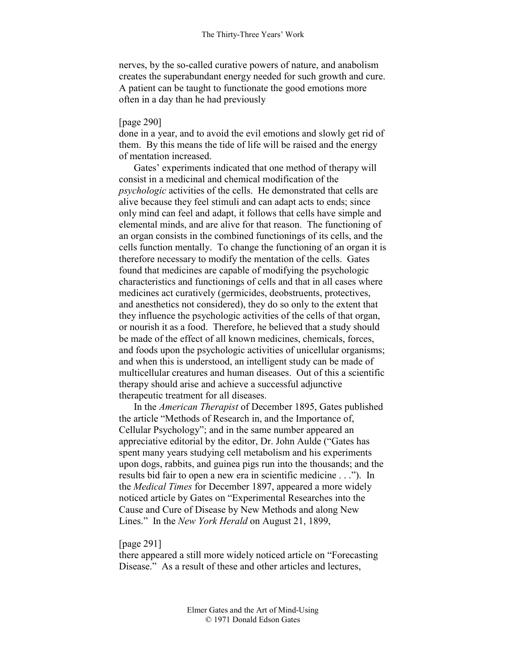nerves, by the so-called curative powers of nature, and anabolism creates the superabundant energy needed for such growth and cure. A patient can be taught to functionate the good emotions more often in a day than he had previously

## [page 290]

done in a year, and to avoid the evil emotions and slowly get rid of them. By this means the tide of life will be raised and the energy of mentation increased.

Gates' experiments indicated that one method of therapy will consist in a medicinal and chemical modification of the *psychologic* activities of the cells. He demonstrated that cells are alive because they feel stimuli and can adapt acts to ends; since only mind can feel and adapt, it follows that cells have simple and elemental minds, and are alive for that reason. The functioning of an organ consists in the combined functionings of its cells, and the cells function mentally. To change the functioning of an organ it is therefore necessary to modify the mentation of the cells. Gates found that medicines are capable of modifying the psychologic characteristics and functionings of cells and that in all cases where medicines act curatively (germicides, deobstruents, protectives, and anesthetics not considered), they do so only to the extent that they influence the psychologic activities of the cells of that organ, or nourish it as a food. Therefore, he believed that a study should be made of the effect of all known medicines, chemicals, forces, and foods upon the psychologic activities of unicellular organisms; and when this is understood, an intelligent study can be made of multicellular creatures and human diseases. Out of this a scientific therapy should arise and achieve a successful adjunctive therapeutic treatment for all diseases.

In the *American Therapist* of December 1895, Gates published the article "Methods of Research in, and the Importance of, Cellular Psychology"; and in the same number appeared an appreciative editorial by the editor, Dr. John Aulde ("Gates has spent many years studying cell metabolism and his experiments upon dogs, rabbits, and guinea pigs run into the thousands; and the results bid fair to open a new era in scientific medicine . . ."). In the *Medical Times* for December 1897, appeared a more widely noticed article by Gates on "Experimental Researches into the Cause and Cure of Disease by New Methods and along New Lines." In the *New York Herald* on August 21, 1899,

### [page 291]

there appeared a still more widely noticed article on "Forecasting Disease." As a result of these and other articles and lectures,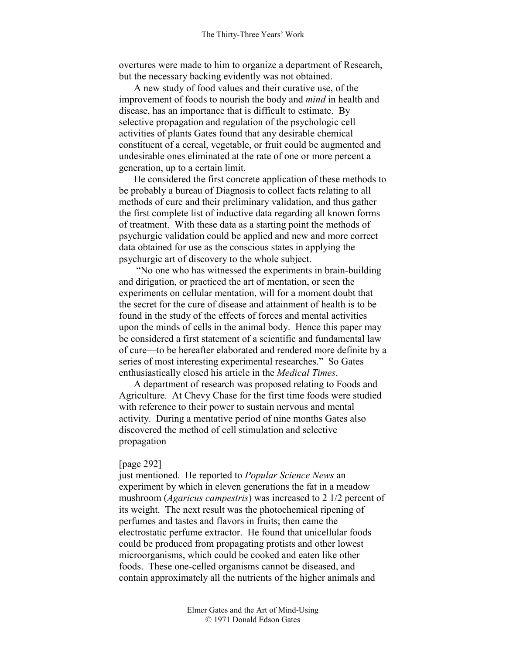overtures were made to him to organize a department of Research, but the necessary backing evidently was not obtained.

A new study of food values and their curative use, of the improvement of foods to nourish the body and *mind* in health and disease, has an importance that is difficult to estimate. By selective propagation and regulation of the psychologic cell activities of plants Gates found that any desirable chemical constituent of a cereal, vegetable, or fruit could be augmented and undesirable ones eliminated at the rate of one or more percent a generation, up to a certain limit.

He considered the first concrete application of these methods to be probably a bureau of Diagnosis to collect facts relating to all methods of cure and their preliminary validation, and thus gather the first complete list of inductive data regarding all known forms of treatment. With these data as a starting point the methods of psychurgic validation could be applied and new and more correct data obtained for use as the conscious states in applying the psychurgic art of discovery to the whole subject.

 "No one who has witnessed the experiments in brain-building and dirigation, or practiced the art of mentation, or seen the experiments on cellular mentation, will for a moment doubt that the secret for the cure of disease and attainment of health is to be found in the study of the effects of forces and mental activities upon the minds of cells in the animal body. Hence this paper may be considered a first statement of a scientific and fundamental law of cure—to be hereafter elaborated and rendered more definite by a series of most interesting experimental researches." So Gates enthusiastically closed his article in the *Medical Times*.

A department of research was proposed relating to Foods and Agriculture. At Chevy Chase for the first time foods were studied with reference to their power to sustain nervous and mental activity. During a mentative period of nine months Gates also discovered the method of cell stimulation and selective propagation

### [page 292]

just mentioned. He reported to *Popular Science News* an experiment by which in eleven generations the fat in a meadow mushroom (*Agaricus campestris*) was increased to 2 1/2 percent of its weight. The next result was the photochemical ripening of perfumes and tastes and flavors in fruits; then came the electrostatic perfume extractor. He found that unicellular foods could be produced from propagating protists and other lowest microorganisms, which could be cooked and eaten like other foods. These one-celled organisms cannot be diseased, and contain approximately all the nutrients of the higher animals and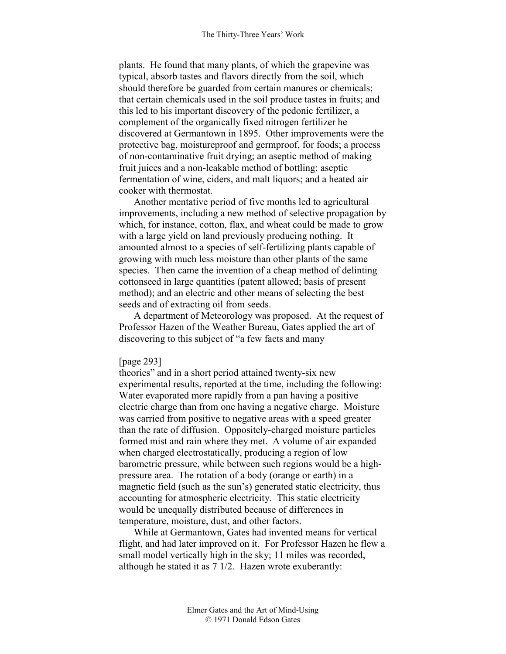plants. He found that many plants, of which the grapevine was typical, absorb tastes and flavors directly from the soil, which should therefore be guarded from certain manures or chemicals; that certain chemicals used in the soil produce tastes in fruits; and this led to his important discovery of the pedonic fertilizer, a complement of the organically fixed nitrogen fertilizer he discovered at Germantown in 1895. Other improvements were the protective bag, moistureproof and germproof, for foods; a process of non-contaminative fruit drying; an aseptic method of making fruit juices and a non-leakable method of bottling; aseptic fermentation of wine, ciders, and malt liquors; and a heated air cooker with thermostat.

Another mentative period of five months led to agricultural improvements, including a new method of selective propagation by which, for instance, cotton, flax, and wheat could be made to grow with a large yield on land previously producing nothing. It amounted almost to a species of self-fertilizing plants capable of growing with much less moisture than other plants of the same species. Then came the invention of a cheap method of delinting cottonseed in large quantities (patent allowed; basis of present method); and an electric and other means of selecting the best seeds and of extracting oil from seeds.

A department of Meteorology was proposed. At the request of Professor Hazen of the Weather Bureau, Gates applied the art of discovering to this subject of "a few facts and many

### [page 293]

theories" and in a short period attained twenty-six new experimental results, reported at the time, including the following: Water evaporated more rapidly from a pan having a positive electric charge than from one having a negative charge. Moisture was carried from positive to negative areas with a speed greater than the rate of diffusion. Oppositely-charged moisture particles formed mist and rain where they met. A volume of air expanded when charged electrostatically, producing a region of low barometric pressure, while between such regions would be a highpressure area. The rotation of a body (orange or earth) in a magnetic field (such as the sun's) generated static electricity, thus accounting for atmospheric electricity. This static electricity would be unequally distributed because of differences in temperature, moisture, dust, and other factors.

While at Germantown, Gates had invented means for vertical flight, and had later improved on it. For Professor Hazen he flew a small model vertically high in the sky; 11 miles was recorded, although he stated it as 7 1/2. Hazen wrote exuberantly: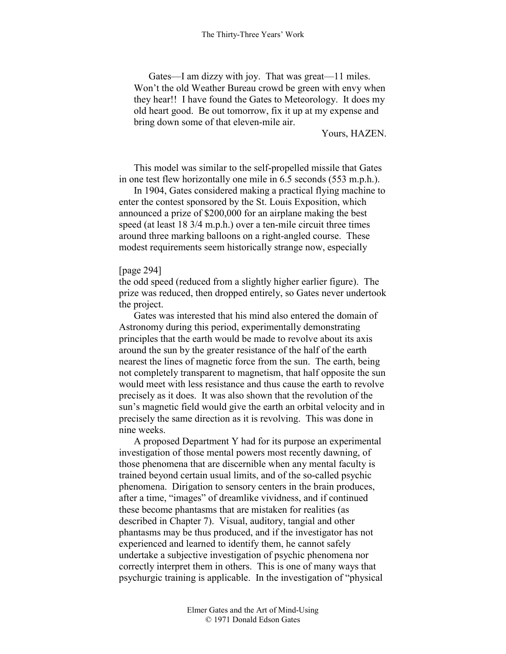Gates—I am dizzy with joy. That was great—11 miles. Won't the old Weather Bureau crowd be green with envy when they hear!! I have found the Gates to Meteorology. It does my old heart good. Be out tomorrow, fix it up at my expense and bring down some of that eleven-mile air.

Yours, HAZEN.

This model was similar to the self-propelled missile that Gates in one test flew horizontally one mile in 6.5 seconds (553 m.p.h.).

In 1904, Gates considered making a practical flying machine to enter the contest sponsored by the St. Louis Exposition, which announced a prize of \$200,000 for an airplane making the best speed (at least 18 3/4 m.p.h.) over a ten-mile circuit three times around three marking balloons on a right-angled course. These modest requirements seem historically strange now, especially

## [page 294]

the odd speed (reduced from a slightly higher earlier figure). The prize was reduced, then dropped entirely, so Gates never undertook the project.

Gates was interested that his mind also entered the domain of Astronomy during this period, experimentally demonstrating principles that the earth would be made to revolve about its axis around the sun by the greater resistance of the half of the earth nearest the lines of magnetic force from the sun. The earth, being not completely transparent to magnetism, that half opposite the sun would meet with less resistance and thus cause the earth to revolve precisely as it does. It was also shown that the revolution of the sun's magnetic field would give the earth an orbital velocity and in precisely the same direction as it is revolving. This was done in nine weeks.

A proposed Department Y had for its purpose an experimental investigation of those mental powers most recently dawning, of those phenomena that are discernible when any mental faculty is trained beyond certain usual limits, and of the so-called psychic phenomena. Dirigation to sensory centers in the brain produces, after a time, "images" of dreamlike vividness, and if continued these become phantasms that are mistaken for realities (as described in Chapter 7). Visual, auditory, tangial and other phantasms may be thus produced, and if the investigator has not experienced and learned to identify them, he cannot safely undertake a subjective investigation of psychic phenomena nor correctly interpret them in others. This is one of many ways that psychurgic training is applicable. In the investigation of "physical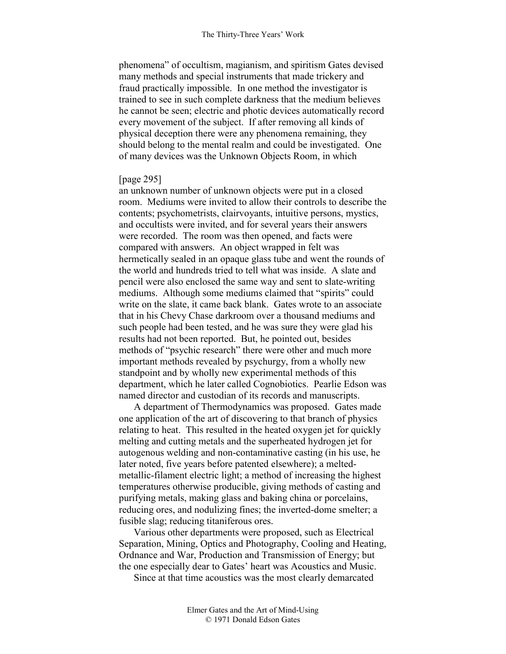phenomena" of occultism, magianism, and spiritism Gates devised many methods and special instruments that made trickery and fraud practically impossible. In one method the investigator is trained to see in such complete darkness that the medium believes he cannot be seen; electric and photic devices automatically record every movement of the subject. If after removing all kinds of physical deception there were any phenomena remaining, they should belong to the mental realm and could be investigated. One of many devices was the Unknown Objects Room, in which

## [page 295]

an unknown number of unknown objects were put in a closed room. Mediums were invited to allow their controls to describe the contents; psychometrists, clairvoyants, intuitive persons, mystics, and occultists were invited, and for several years their answers were recorded. The room was then opened, and facts were compared with answers. An object wrapped in felt was hermetically sealed in an opaque glass tube and went the rounds of the world and hundreds tried to tell what was inside. A slate and pencil were also enclosed the same way and sent to slate-writing mediums. Although some mediums claimed that "spirits" could write on the slate, it came back blank. Gates wrote to an associate that in his Chevy Chase darkroom over a thousand mediums and such people had been tested, and he was sure they were glad his results had not been reported. But, he pointed out, besides methods of "psychic research" there were other and much more important methods revealed by psychurgy, from a wholly new standpoint and by wholly new experimental methods of this department, which he later called Cognobiotics. Pearlie Edson was named director and custodian of its records and manuscripts.

A department of Thermodynamics was proposed. Gates made one application of the art of discovering to that branch of physics relating to heat. This resulted in the heated oxygen jet for quickly melting and cutting metals and the superheated hydrogen jet for autogenous welding and non-contaminative casting (in his use, he later noted, five years before patented elsewhere); a meltedmetallic-filament electric light; a method of increasing the highest temperatures otherwise producible, giving methods of casting and purifying metals, making glass and baking china or porcelains, reducing ores, and nodulizing fines; the inverted-dome smelter; a fusible slag; reducing titaniferous ores.

Various other departments were proposed, such as Electrical Separation, Mining, Optics and Photography, Cooling and Heating, Ordnance and War, Production and Transmission of Energy; but the one especially dear to Gates' heart was Acoustics and Music.

Since at that time acoustics was the most clearly demarcated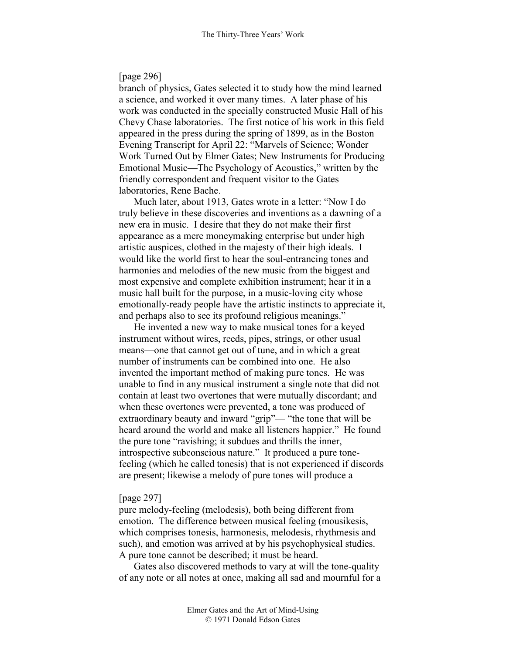# [page 296]

branch of physics, Gates selected it to study how the mind learned a science, and worked it over many times. A later phase of his work was conducted in the specially constructed Music Hall of his Chevy Chase laboratories. The first notice of his work in this field appeared in the press during the spring of 1899, as in the Boston Evening Transcript for April 22: "Marvels of Science; Wonder Work Turned Out by Elmer Gates; New Instruments for Producing Emotional Music—The Psychology of Acoustics," written by the friendly correspondent and frequent visitor to the Gates laboratories, Rene Bache.

Much later, about 1913, Gates wrote in a letter: "Now I do truly believe in these discoveries and inventions as a dawning of a new era in music. I desire that they do not make their first appearance as a mere moneymaking enterprise but under high artistic auspices, clothed in the majesty of their high ideals. I would like the world first to hear the soul-entrancing tones and harmonies and melodies of the new music from the biggest and most expensive and complete exhibition instrument; hear it in a music hall built for the purpose, in a music-loving city whose emotionally-ready people have the artistic instincts to appreciate it, and perhaps also to see its profound religious meanings."

He invented a new way to make musical tones for a keyed instrument without wires, reeds, pipes, strings, or other usual means—one that cannot get out of tune, and in which a great number of instruments can be combined into one. He also invented the important method of making pure tones. He was unable to find in any musical instrument a single note that did not contain at least two overtones that were mutually discordant; and when these overtones were prevented, a tone was produced of extraordinary beauty and inward "grip"— "the tone that will be heard around the world and make all listeners happier." He found the pure tone "ravishing; it subdues and thrills the inner, introspective subconscious nature." It produced a pure tonefeeling (which he called tonesis) that is not experienced if discords are present; likewise a melody of pure tones will produce a

## [page 297]

pure melody-feeling (melodesis), both being different from emotion. The difference between musical feeling (mousikesis, which comprises tonesis, harmonesis, melodesis, rhythmesis and such), and emotion was arrived at by his psychophysical studies. A pure tone cannot be described; it must be heard.

Gates also discovered methods to vary at will the tone-quality of any note or all notes at once, making all sad and mournful for a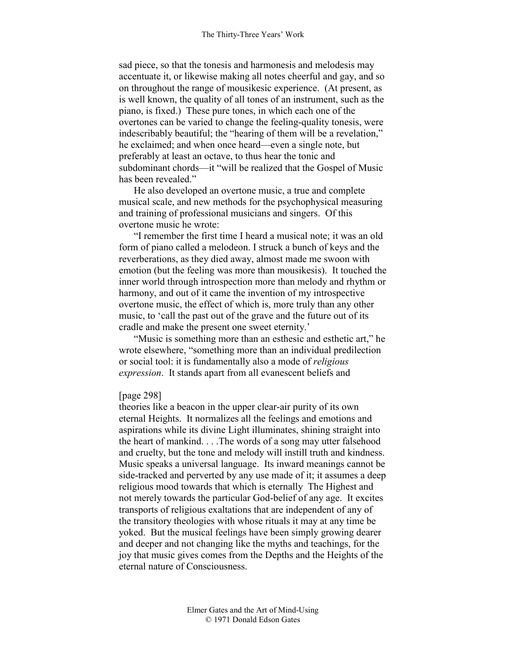sad piece, so that the tonesis and harmonesis and melodesis may accentuate it, or likewise making all notes cheerful and gay, and so on throughout the range of mousikesic experience. (At present, as is well known, the quality of all tones of an instrument, such as the piano, is fixed.) These pure tones, in which each one of the overtones can be varied to change the feeling-quality tonesis, were indescribably beautiful; the "hearing of them will be a revelation," he exclaimed; and when once heard—even a single note, but preferably at least an octave, to thus hear the tonic and subdominant chords—it "will be realized that the Gospel of Music has been revealed."

He also developed an overtone music, a true and complete musical scale, and new methods for the psychophysical measuring and training of professional musicians and singers. Of this overtone music he wrote:

"I remember the first time I heard a musical note; it was an old form of piano called a melodeon. I struck a bunch of keys and the reverberations, as they died away, almost made me swoon with emotion (but the feeling was more than mousikesis). It touched the inner world through introspection more than melody and rhythm or harmony, and out of it came the invention of my introspective overtone music, the effect of which is, more truly than any other music, to 'call the past out of the grave and the future out of its cradle and make the present one sweet eternity.'

"Music is something more than an esthesic and esthetic art," he wrote elsewhere, "something more than an individual predilection or social tool: it is fundamentally also a mode of *religious expression*. It stands apart from all evanescent beliefs and

## [page 298]

theories like a beacon in the upper clear-air purity of its own eternal Heights. It normalizes all the feelings and emotions and aspirations while its divine Light illuminates, shining straight into the heart of mankind. . . .The words of a song may utter falsehood and cruelty, but the tone and melody will instill truth and kindness. Music speaks a universal language. Its inward meanings cannot be side-tracked and perverted by any use made of it; it assumes a deep religious mood towards that which is eternally The Highest and not merely towards the particular God-belief of any age. It excites transports of religious exaltations that are independent of any of the transitory theologies with whose rituals it may at any time be yoked. But the musical feelings have been simply growing dearer and deeper and not changing like the myths and teachings, for the joy that music gives comes from the Depths and the Heights of the eternal nature of Consciousness.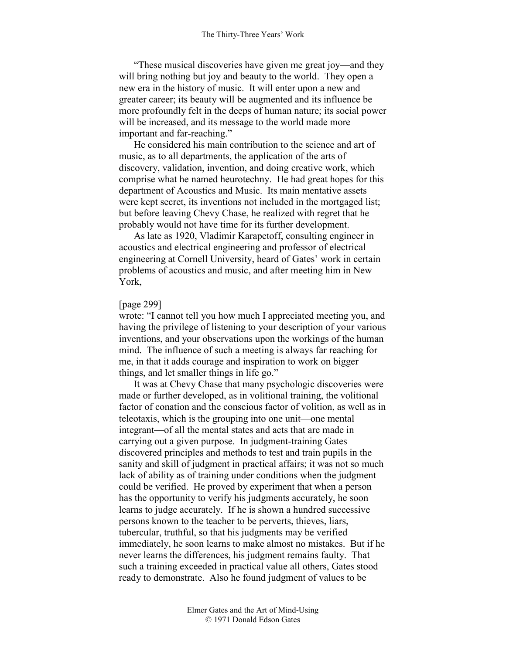"These musical discoveries have given me great joy—and they will bring nothing but joy and beauty to the world. They open a new era in the history of music. It will enter upon a new and greater career; its beauty will be augmented and its influence be more profoundly felt in the deeps of human nature; its social power will be increased, and its message to the world made more important and far-reaching."

He considered his main contribution to the science and art of music, as to all departments, the application of the arts of discovery, validation, invention, and doing creative work, which comprise what he named heurotechny. He had great hopes for this department of Acoustics and Music. Its main mentative assets were kept secret, its inventions not included in the mortgaged list; but before leaving Chevy Chase, he realized with regret that he probably would not have time for its further development.

As late as 1920, Vladimir Karapetoff, consulting engineer in acoustics and electrical engineering and professor of electrical engineering at Cornell University, heard of Gates' work in certain problems of acoustics and music, and after meeting him in New York,

## [page 299]

wrote: "I cannot tell you how much I appreciated meeting you, and having the privilege of listening to your description of your various inventions, and your observations upon the workings of the human mind. The influence of such a meeting is always far reaching for me, in that it adds courage and inspiration to work on bigger things, and let smaller things in life go."

It was at Chevy Chase that many psychologic discoveries were made or further developed, as in volitional training, the volitional factor of conation and the conscious factor of volition, as well as in teleotaxis, which is the grouping into one unit—one mental integrant—of all the mental states and acts that are made in carrying out a given purpose. In judgment-training Gates discovered principles and methods to test and train pupils in the sanity and skill of judgment in practical affairs; it was not so much lack of ability as of training under conditions when the judgment could be verified. He proved by experiment that when a person has the opportunity to verify his judgments accurately, he soon learns to judge accurately. If he is shown a hundred successive persons known to the teacher to be perverts, thieves, liars, tubercular, truthful, so that his judgments may be verified immediately, he soon learns to make almost no mistakes. But if he never learns the differences, his judgment remains faulty. That such a training exceeded in practical value all others, Gates stood ready to demonstrate. Also he found judgment of values to be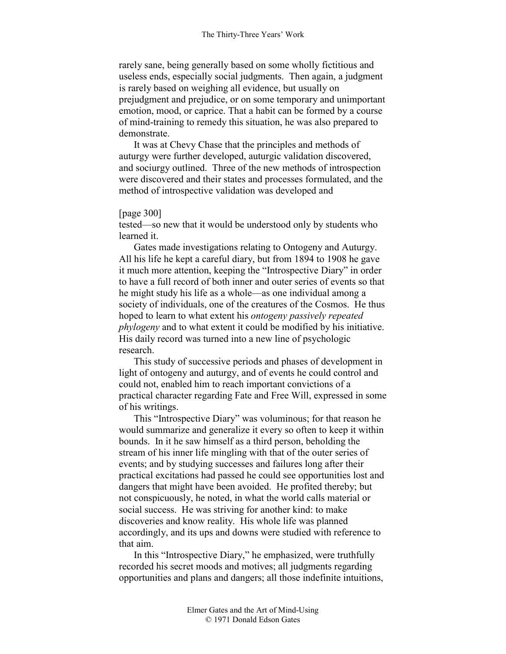rarely sane, being generally based on some wholly fictitious and useless ends, especially social judgments. Then again, a judgment is rarely based on weighing all evidence, but usually on prejudgment and prejudice, or on some temporary and unimportant emotion, mood, or caprice. That a habit can be formed by a course of mind-training to remedy this situation, he was also prepared to demonstrate.

It was at Chevy Chase that the principles and methods of auturgy were further developed, auturgic validation discovered, and sociurgy outlined. Three of the new methods of introspection were discovered and their states and processes formulated, and the method of introspective validation was developed and

### [page 300]

tested—so new that it would be understood only by students who learned it.

Gates made investigations relating to Ontogeny and Auturgy. All his life he kept a careful diary, but from 1894 to 1908 he gave it much more attention, keeping the "Introspective Diary" in order to have a full record of both inner and outer series of events so that he might study his life as a whole—as one individual among a society of individuals, one of the creatures of the Cosmos. He thus hoped to learn to what extent his *ontogeny passively repeated phylogeny* and to what extent it could be modified by his initiative. His daily record was turned into a new line of psychologic research.

This study of successive periods and phases of development in light of ontogeny and auturgy, and of events he could control and could not, enabled him to reach important convictions of a practical character regarding Fate and Free Will, expressed in some of his writings.

This "Introspective Diary" was voluminous; for that reason he would summarize and generalize it every so often to keep it within bounds. In it he saw himself as a third person, beholding the stream of his inner life mingling with that of the outer series of events; and by studying successes and failures long after their practical excitations had passed he could see opportunities lost and dangers that might have been avoided. He profited thereby; but not conspicuously, he noted, in what the world calls material or social success. He was striving for another kind: to make discoveries and know reality. His whole life was planned accordingly, and its ups and downs were studied with reference to that aim.

In this "Introspective Diary," he emphasized, were truthfully recorded his secret moods and motives; all judgments regarding opportunities and plans and dangers; all those indefinite intuitions,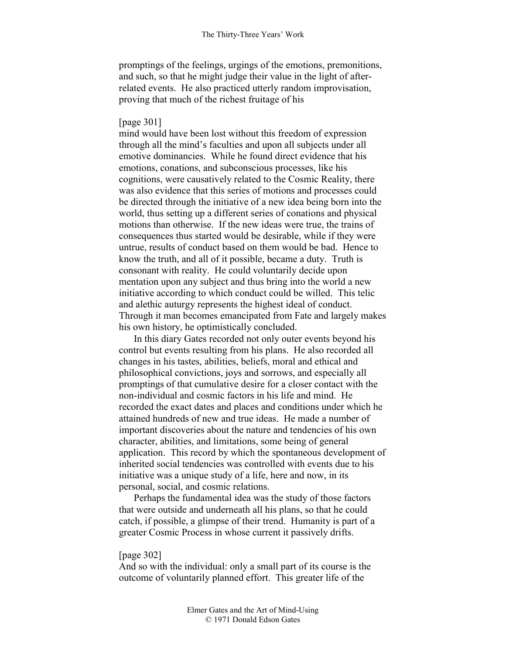promptings of the feelings, urgings of the emotions, premonitions, and such, so that he might judge their value in the light of afterrelated events. He also practiced utterly random improvisation, proving that much of the richest fruitage of his

## [page 301]

mind would have been lost without this freedom of expression through all the mind's faculties and upon all subjects under all emotive dominancies. While he found direct evidence that his emotions, conations, and subconscious processes, like his cognitions, were causatively related to the Cosmic Reality, there was also evidence that this series of motions and processes could be directed through the initiative of a new idea being born into the world, thus setting up a different series of conations and physical motions than otherwise. If the new ideas were true, the trains of consequences thus started would be desirable, while if they were untrue, results of conduct based on them would be bad. Hence to know the truth, and all of it possible, became a duty. Truth is consonant with reality. He could voluntarily decide upon mentation upon any subject and thus bring into the world a new initiative according to which conduct could be willed. This telic and alethic auturgy represents the highest ideal of conduct. Through it man becomes emancipated from Fate and largely makes his own history, he optimistically concluded.

In this diary Gates recorded not only outer events beyond his control but events resulting from his plans. He also recorded all changes in his tastes, abilities, beliefs, moral and ethical and philosophical convictions, joys and sorrows, and especially all promptings of that cumulative desire for a closer contact with the non-individual and cosmic factors in his life and mind. He recorded the exact dates and places and conditions under which he attained hundreds of new and true ideas. He made a number of important discoveries about the nature and tendencies of his own character, abilities, and limitations, some being of general application. This record by which the spontaneous development of inherited social tendencies was controlled with events due to his initiative was a unique study of a life, here and now, in its personal, social, and cosmic relations.

Perhaps the fundamental idea was the study of those factors that were outside and underneath all his plans, so that he could catch, if possible, a glimpse of their trend. Humanity is part of a greater Cosmic Process in whose current it passively drifts.

# [page 302]

And so with the individual: only a small part of its course is the outcome of voluntarily planned effort. This greater life of the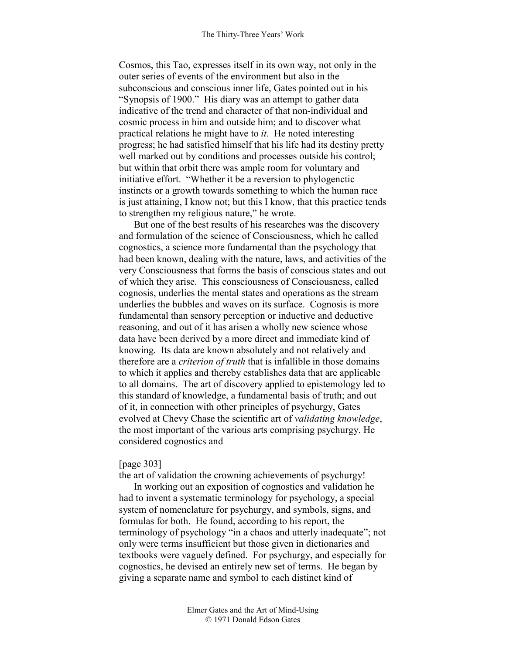Cosmos, this Tao, expresses itself in its own way, not only in the outer series of events of the environment but also in the subconscious and conscious inner life, Gates pointed out in his "Synopsis of 1900." His diary was an attempt to gather data indicative of the trend and character of that non-individual and cosmic process in him and outside him; and to discover what practical relations he might have to *it*. He noted interesting progress; he had satisfied himself that his life had its destiny pretty well marked out by conditions and processes outside his control; but within that orbit there was ample room for voluntary and initiative effort. "Whether it be a reversion to phylogenctic instincts or a growth towards something to which the human race is just attaining, I know not; but this I know, that this practice tends to strengthen my religious nature," he wrote.

But one of the best results of his researches was the discovery and formulation of the science of Consciousness, which he called cognostics, a science more fundamental than the psychology that had been known, dealing with the nature, laws, and activities of the very Consciousness that forms the basis of conscious states and out of which they arise. This consciousness of Consciousness, called cognosis, underlies the mental states and operations as the stream underlies the bubbles and waves on its surface. Cognosis is more fundamental than sensory perception or inductive and deductive reasoning, and out of it has arisen a wholly new science whose data have been derived by a more direct and immediate kind of knowing. Its data are known absolutely and not relatively and therefore are a *criterion of truth* that is infallible in those domains to which it applies and thereby establishes data that are applicable to all domains. The art of discovery applied to epistemology led to this standard of knowledge, a fundamental basis of truth; and out of it, in connection with other principles of psychurgy, Gates evolved at Chevy Chase the scientific art of *validating knowledge*, the most important of the various arts comprising psychurgy. He considered cognostics and

# [page 303]

the art of validation the crowning achievements of psychurgy!

In working out an exposition of cognostics and validation he had to invent a systematic terminology for psychology, a special system of nomenclature for psychurgy, and symbols, signs, and formulas for both. He found, according to his report, the terminology of psychology "in a chaos and utterly inadequate"; not only were terms insufficient but those given in dictionaries and textbooks were vaguely defined. For psychurgy, and especially for cognostics, he devised an entirely new set of terms. He began by giving a separate name and symbol to each distinct kind of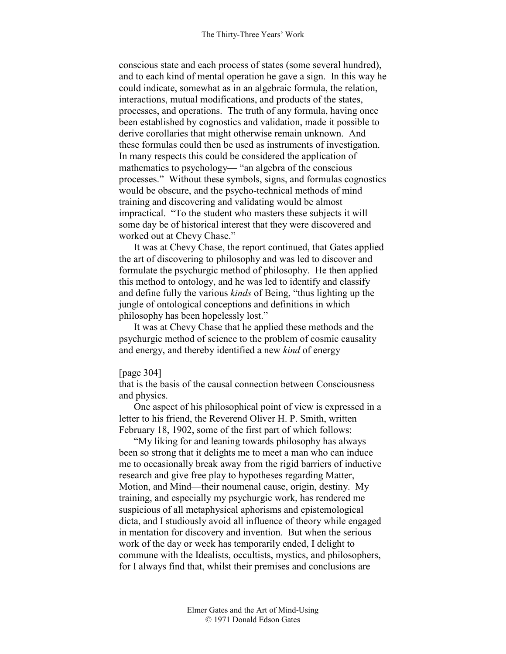conscious state and each process of states (some several hundred), and to each kind of mental operation he gave a sign. In this way he could indicate, somewhat as in an algebraic formula, the relation, interactions, mutual modifications, and products of the states, processes, and operations. The truth of any formula, having once been established by cognostics and validation, made it possible to derive corollaries that might otherwise remain unknown. And these formulas could then be used as instruments of investigation. In many respects this could be considered the application of mathematics to psychology— "an algebra of the conscious processes." Without these symbols, signs, and formulas cognostics would be obscure, and the psycho-technical methods of mind training and discovering and validating would be almost impractical. "To the student who masters these subjects it will some day be of historical interest that they were discovered and worked out at Chevy Chase."

It was at Chevy Chase, the report continued, that Gates applied the art of discovering to philosophy and was led to discover and formulate the psychurgic method of philosophy. He then applied this method to ontology, and he was led to identify and classify and define fully the various *kinds* of Being, "thus lighting up the jungle of ontological conceptions and definitions in which philosophy has been hopelessly lost."

It was at Chevy Chase that he applied these methods and the psychurgic method of science to the problem of cosmic causality and energy, and thereby identified a new *kind* of energy

### [page 304]

that is the basis of the causal connection between Consciousness and physics.

One aspect of his philosophical point of view is expressed in a letter to his friend, the Reverend Oliver H. P. Smith, written February 18, 1902, some of the first part of which follows:

"My liking for and leaning towards philosophy has always been so strong that it delights me to meet a man who can induce me to occasionally break away from the rigid barriers of inductive research and give free play to hypotheses regarding Matter, Motion, and Mind—their noumenal cause, origin, destiny. My training, and especially my psychurgic work, has rendered me suspicious of all metaphysical aphorisms and epistemological dicta, and I studiously avoid all influence of theory while engaged in mentation for discovery and invention. But when the serious work of the day or week has temporarily ended, I delight to commune with the Idealists, occultists, mystics, and philosophers, for I always find that, whilst their premises and conclusions are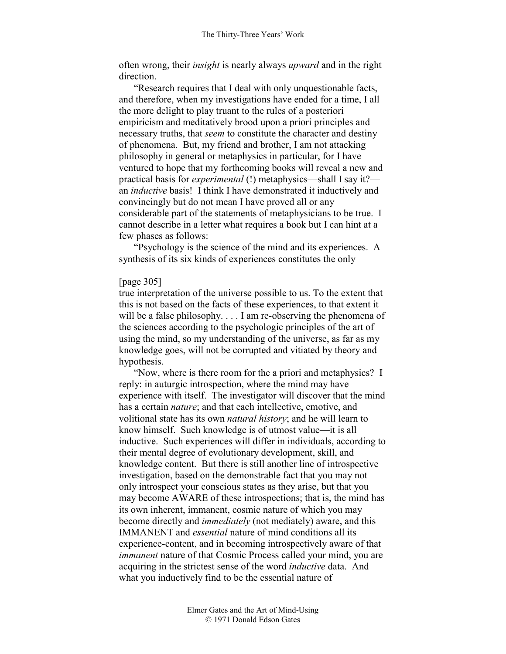often wrong, their *insight* is nearly always *upward* and in the right direction.

"Research requires that I deal with only unquestionable facts, and therefore, when my investigations have ended for a time, I all the more delight to play truant to the rules of a posteriori empiricism and meditatively brood upon a priori principles and necessary truths, that *seem* to constitute the character and destiny of phenomena. But, my friend and brother, I am not attacking philosophy in general or metaphysics in particular, for I have ventured to hope that my forthcoming books will reveal a new and practical basis for *experimental* (!) metaphysics—shall I say it? an *inductive* basis! I think I have demonstrated it inductively and convincingly but do not mean I have proved all or any considerable part of the statements of metaphysicians to be true. I cannot describe in a letter what requires a book but I can hint at a few phases as follows:

"Psychology is the science of the mind and its experiences. A synthesis of its six kinds of experiences constitutes the only

# [page 305]

true interpretation of the universe possible to us. To the extent that this is not based on the facts of these experiences, to that extent it will be a false philosophy. . . . I am re-observing the phenomena of the sciences according to the psychologic principles of the art of using the mind, so my understanding of the universe, as far as my knowledge goes, will not be corrupted and vitiated by theory and hypothesis.

"Now, where is there room for the a priori and metaphysics? I reply: in auturgic introspection, where the mind may have experience with itself. The investigator will discover that the mind has a certain *nature*; and that each intellective, emotive, and volitional state has its own *natural history*; and he will learn to know himself. Such knowledge is of utmost value—it is all inductive. Such experiences will differ in individuals, according to their mental degree of evolutionary development, skill, and knowledge content. But there is still another line of introspective investigation, based on the demonstrable fact that you may not only introspect your conscious states as they arise, but that you may become AWARE of these introspections; that is, the mind has its own inherent, immanent, cosmic nature of which you may become directly and *immediately* (not mediately) aware, and this IMMANENT and *essential* nature of mind conditions all its experience-content, and in becoming introspectively aware of that *immanent* nature of that Cosmic Process called your mind, you are acquiring in the strictest sense of the word *inductive* data. And what you inductively find to be the essential nature of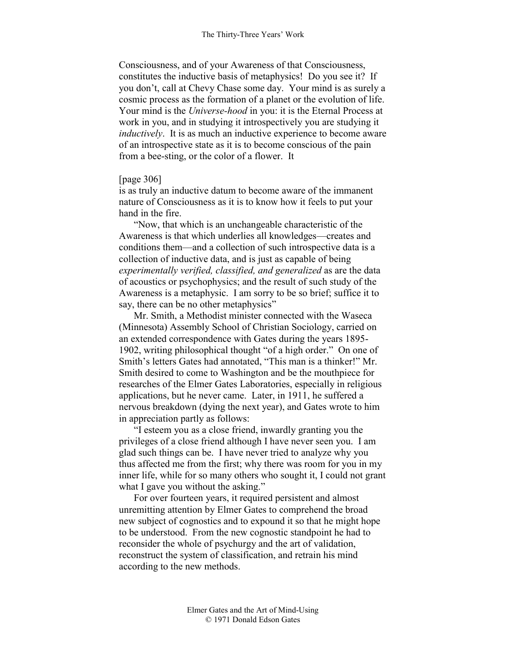Consciousness, and of your Awareness of that Consciousness, constitutes the inductive basis of metaphysics! Do you see it? If you don't, call at Chevy Chase some day. Your mind is as surely a cosmic process as the formation of a planet or the evolution of life. Your mind is the *Universe-hood* in you: it is the Eternal Process at work in you, and in studying it introspectively you are studying it *inductively*. It is as much an inductive experience to become aware of an introspective state as it is to become conscious of the pain from a bee-sting, or the color of a flower. It

# [page 306]

is as truly an inductive datum to become aware of the immanent nature of Consciousness as it is to know how it feels to put your hand in the fire.

"Now, that which is an unchangeable characteristic of the Awareness is that which underlies all knowledges—creates and conditions them—and a collection of such introspective data is a collection of inductive data, and is just as capable of being *experimentally verified, classified, and generalized* as are the data of acoustics or psychophysics; and the result of such study of the Awareness is a metaphysic. I am sorry to be so brief; suffice it to say, there can be no other metaphysics"

Mr. Smith, a Methodist minister connected with the Waseca (Minnesota) Assembly School of Christian Sociology, carried on an extended correspondence with Gates during the years 1895- 1902, writing philosophical thought "of a high order." On one of Smith's letters Gates had annotated, "This man is a thinker!" Mr. Smith desired to come to Washington and be the mouthpiece for researches of the Elmer Gates Laboratories, especially in religious applications, but he never came. Later, in 1911, he suffered a nervous breakdown (dying the next year), and Gates wrote to him in appreciation partly as follows:

"I esteem you as a close friend, inwardly granting you the privileges of a close friend although I have never seen you. I am glad such things can be. I have never tried to analyze why you thus affected me from the first; why there was room for you in my inner life, while for so many others who sought it, I could not grant what I gave you without the asking."

For over fourteen years, it required persistent and almost unremitting attention by Elmer Gates to comprehend the broad new subject of cognostics and to expound it so that he might hope to be understood. From the new cognostic standpoint he had to reconsider the whole of psychurgy and the art of validation, reconstruct the system of classification, and retrain his mind according to the new methods.